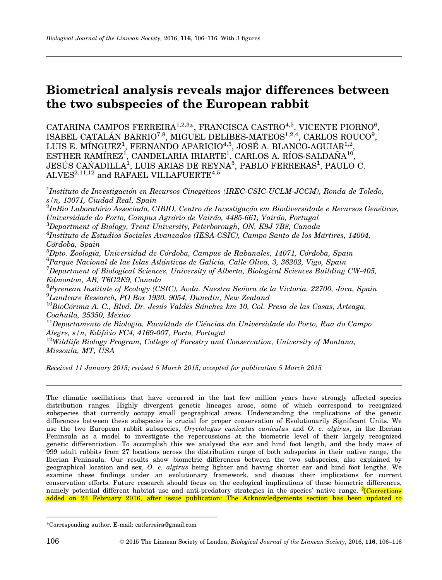# Biometrical analysis reveals major differences between the two subspecies of the European rabbit

CATARINA CAMPOS FERREIRA $^{1,2,3*}$ , FRANCISCA CASTRO $^{4,5}$ , VICENTE PIORNO $^6$ , ISABEL CATALÁN BARRIO $^{7,8}$ , MIGUEL DELIBES-MATEOS $^{1,2,4}$ , CARLOS ROUCO $^{9}$ , LUIS E. MÍNGUEZ<sup>1</sup>, FERNANDO APARICIO $^{4,5}$ , JOSÉ A. BLANCO-AGUIAR $^{1,2}$ ,  ${\rm ESTHER~RAMIREZ^1,~CANDELARIA~IRIARTE^1,~CARLOS~A.~RÍOS-SALDAÑA^{10}},$  ${\rm JES}$ ÚS CAÑADILLA $^1$ , LUIS ARIAS DE REYNA $^5$ , PABLO FERRERAS $^1$ , PAULO C.  $\mathrm{ALVES}^{2,11,12}$  and RAFAEL VILLAFUERTE  $4,5$ 

 $^{1}$ Instituto de Investigación en Recursos Cinegéticos (IREC-CSIC-UCLM-JCCM), Ronda de Toledo, s/n, 13071, Ciudad Real, Spain

 $^2$ InBio Laboratório Associado, CIBIO, Centro de Investigação em Biodiversidade e Recursos Genéticos, Universidade do Porto, Campus Agrário de Vairão, 4485-661, Vairão, Portugal

<sup>3</sup>Department of Biology, Trent University, Peterborough, ON, K9J 7B8, Canada

 $^{4}$ Instituto de Estudios Sociales Avanzados (IESA-CSIC), Campo Santo de los Mártires, 14004, Córdoba, Spain

 ${}^{5}D$ pto. Zoología, Universidad de Córdoba, Campus de Rabanales, 14071, Córdoba, Spain  ${}^{6}$ Parque Nacional de las Islas Atlánticas de Galicia, Calle Oliva, 3, 36202, Vigo, Spain  $17$ Department of Biological Sciences, University of Alberta, Biological Sciences Building CW-405, Edmonton, AB, T6G2E9, Canada

<sup>8</sup>Pyrenean Institute of Ecology (CSIC), Avda. Nuestra Señora de la Victoria, 22700, Jaca, Spain<br><sup>9</sup>Landcare Besearch, PO Box 1930, 9054, Dunedin, New Zealand Landcare Research, PO Box 1930, 9054, Dunedin, New Zealand

 $10BioC$ órima A. C., Blvd. Dr. Jesús Valdés Sánchez km 10, Col. Presa de las Casas, Arteaga,

Coahuila, 25350, México<br><sup>11</sup>Departamento de Biologia, Faculdade de Ciências da Universidade do Porto, Rua do Campo Alegre, s/n, Edifıcio FC4, 4169-007, Porto, Portugal

 $12$ Wildlife Biology Program, College of Forestry and Conservation, University of Montana, Missoula, MT, USA

Received 11 January 2015; revised 5 March 2015; accepted for publication 5 March 2015

The climatic oscillations that have occurred in the last few million years have strongly affected species distribution ranges. Highly divergent genetic lineages arose, some of which correspond to recognized subspecies that currently occupy small geographical areas. Understanding the implications of the genetic differences between these subspecies is crucial for proper conservation of Evolutionarily Significant Units. We use the two European rabbit subspecies, *Oryctolagus cuniculus cuniculus* and O. c. algirus, in the Iberian Peninsula as a model to investigate the repercussions at the biometric level of their largely recognized genetic differentiation. To accomplish this we analysed the ear and hind foot length, and the body mass of 999 adult rabbits from 27 locations across the distribution range of both subspecies in their native range, the Iberian Peninsula. Our results show biometric differences between the two subspecies, also explained by geographical location and sex, O. c. algirus being lighter and having shorter ear and hind foot lengths. We examine these findings under an evolutionary framework, and discuss their implications for current conservation efforts. Future research should focus on the ecological implications of these biometric differences, namely potential different habitat use and anti-predatory strategies in the species' native range. <sup>§</sup>[Corrections added on 24 February 2016, after issue publication: The Acknowledgements section has been updated to

<sup>\*</sup>Corresponding author. E-mail: catferreira@gmail.com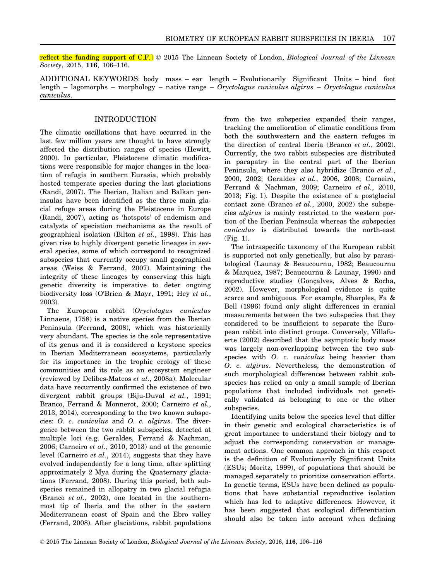reflect the funding support of  $C.F.$   $\odot$  2015 The Linnean Society of London, *Biological Journal of the Linnean* Society, 2015, 116, 106–116.

ADDITIONAL KEYWORDS: body mass – ear length – Evolutionarily Significant Units – hind foot length – lagomorphs – morphology – native range – Oryctolagus cuniculus algirus – Oryctolagus cuniculus cuniculus.

## INTRODUCTION

The climatic oscillations that have occurred in the last few million years are thought to have strongly affected the distribution ranges of species (Hewitt, 2000). In particular, Pleistocene climatic modifications were responsible for major changes in the location of refugia in southern Eurasia, which probably hosted temperate species during the last glaciations (Randi, 2007). The Iberian, Italian and Balkan peninsulas have been identified as the three main glacial refuge areas during the Pleistocene in Europe (Randi, 2007), acting as 'hotspots' of endemism and catalysts of speciation mechanisms as the result of geographical isolation (Bilton et al., 1998). This has given rise to highly divergent genetic lineages in several species, some of which correspond to recognized subspecies that currently occupy small geographical areas (Weiss & Ferrand, 2007). Maintaining the integrity of these lineages by conserving this high genetic diversity is imperative to deter ongoing biodiversity loss (O'Brien & Mayr, 1991; Hey et al., 2003).

The European rabbit (Oryctolagus cuniculus Linnaeus, 1758) is a native species from the Iberian Peninsula (Ferrand, 2008), which was historically very abundant. The species is the sole representative of its genus and it is considered a keystone species in Iberian Mediterranean ecosystems, particularly for its importance in the trophic ecology of these communities and its role as an ecosystem engineer (reviewed by Delibes-Mateos et al., 2008a). Molecular data have recurrently confirmed the existence of two divergent rabbit groups (Biju-Duval et al., 1991; Branco, Ferrand & Monnerot, 2000; Carneiro et al., 2013, 2014), corresponding to the two known subspecies: O. c. cuniculus and O. c. algirus. The divergence between the two rabbit subspecies, detected at multiple loci (e.g. Geraldes, Ferrand & Nachman, 2006; Carneiro et al., 2010, 2013) and at the genomic level (Carneiro et al., 2014), suggests that they have evolved independently for a long time, after splitting approximately 2 Mya during the Quaternary glaciations (Ferrand, 2008). During this period, both subspecies remained in allopatry in two glacial refugia (Branco et al., 2002), one located in the southernmost tip of Iberia and the other in the eastern Mediterranean coast of Spain and the Ebro valley (Ferrand, 2008). After glaciations, rabbit populations from the two subspecies expanded their ranges, tracking the amelioration of climatic conditions from both the southwestern and the eastern refuges in the direction of central Iberia (Branco et al., 2002). Currently, the two rabbit subspecies are distributed in parapatry in the central part of the Iberian Peninsula, where they also hybridize (Branco et al., 2000, 2002; Geraldes et al., 2006, 2008; Carneiro, Ferrand & Nachman, 2009; Carneiro et al., 2010, 2013; Fig. 1). Despite the existence of a postglacial contact zone (Branco et al., 2000, 2002) the subspecies algirus is mainly restricted to the western portion of the Iberian Peninsula whereas the subspecies cuniculus is distributed towards the north-east (Fig. 1).

The intraspecific taxonomy of the European rabbit is supported not only genetically, but also by parasitological (Launay & Beaucournu, 1982; Beaucournu & Marquez, 1987; Beaucournu & Launay, 1990) and reproductive studies (Gonçalves, Alves & Rocha, 2002). However, morphological evidence is quite scarce and ambiguous. For example, Sharples, Fa & Bell (1996) found only slight differences in cranial measurements between the two subspecies that they considered to be insufficient to separate the European rabbit into distinct groups. Conversely, Villafuerte (2002) described that the asymptotic body mass was largely non-overlapping between the two subspecies with O. c. cuniculus being heavier than O. c. algirus. Nevertheless, the demonstration of such morphological differences between rabbit subspecies has relied on only a small sample of Iberian populations that included individuals not genetically validated as belonging to one or the other subspecies.

Identifying units below the species level that differ in their genetic and ecological characteristics is of great importance to understand their biology and to adjust the corresponding conservation or management actions. One common approach in this respect is the definition of Evolutionarily Significant Units (ESUs; Moritz, 1999), of populations that should be managed separately to prioritize conservation efforts. In genetic terms, ESUs have been defined as populations that have substantial reproductive isolation which has led to adaptive differences. However, it has been suggested that ecological differentiation should also be taken into account when defining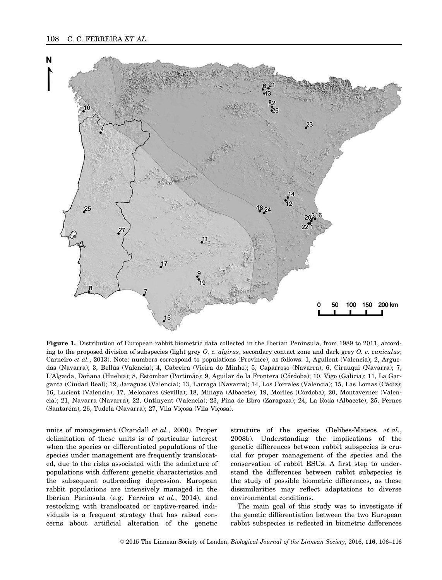

Figure 1. Distribution of European rabbit biometric data collected in the Iberian Peninsula, from 1989 to 2011, according to the proposed division of subspecies (light grey  $O$ . c. algirus, secondary contact zone and dark grey  $O$ . c. cuniculus; Carneiro et al., 2013). Note: numbers correspond to populations (Province), as follows: 1, Agullent (Valencia); 2, Arguedas (Navarra); 3, Bellus (Valencia); 4, Cabreira (Vieira do Minho); 5, Caparroso (Navarra); 6, Cirauqui (Navarra); 7, L'Algaida, Doñana (Huelva); 8, Estômbar (Portimão); 9, Aguilar de la Frontera (Córdoba); 10, Vigo (Galicia); 11, La Garganta (Ciudad Real); 12, Jaraguas (Valencia); 13, Larraga (Navarra); 14, Los Corrales (Valencia); 15, Las Lomas (Cadiz); 16, Lucient (Valencia); 17, Melonares (Sevilla); 18, Minaya (Albacete); 19, Moriles (Córdoba); 20, Montaverner (Valencia); 21, Navarra (Navarra); 22, Ontinyent (Valencia); 23, Pina de Ebro (Zaragoza); 24, La Roda (Albacete); 25, Pernes (Santarém); 26, Tudela (Navarra); 27, Vila Viçosa (Vila Viçosa).

units of management (Crandall et al., 2000). Proper delimitation of these units is of particular interest when the species or differentiated populations of the species under management are frequently translocated, due to the risks associated with the admixture of populations with different genetic characteristics and the subsequent outbreeding depression. European rabbit populations are intensively managed in the Iberian Peninsula (e.g. Ferreira et al., 2014), and restocking with translocated or captive-reared individuals is a frequent strategy that has raised concerns about artificial alteration of the genetic structure of the species (Delibes-Mateos et al., 2008b). Understanding the implications of the genetic differences between rabbit subspecies is crucial for proper management of the species and the conservation of rabbit ESUs. A first step to understand the differences between rabbit subspecies is the study of possible biometric differences, as these dissimilarities may reflect adaptations to diverse environmental conditions.

The main goal of this study was to investigate if the genetic differentiation between the two European rabbit subspecies is reflected in biometric differences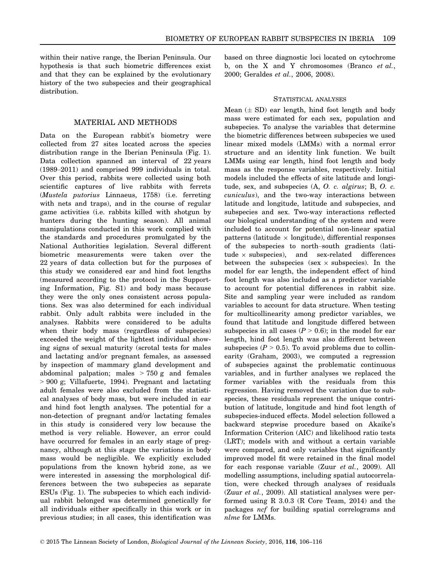within their native range, the Iberian Peninsula. Our hypothesis is that such biometric differences exist and that they can be explained by the evolutionary history of the two subspecies and their geographical distribution.

### MATERIAL AND METHODS

Data on the European rabbit's biometry were collected from 27 sites located across the species distribution range in the Iberian Peninsula (Fig. 1). Data collection spanned an interval of 22 years (1989–2011) and comprised 999 individuals in total. Over this period, rabbits were collected using both scientific captures of live rabbits with ferrets (Mustela putorius Linnaeus, 1758) (i.e. ferreting with nets and traps), and in the course of regular game activities (i.e. rabbits killed with shotgun by hunters during the hunting season). All animal manipulations conducted in this work complied with the standards and procedures promulgated by the National Authorities legislation. Several different biometric measurements were taken over the 22 years of data collection but for the purposes of this study we considered ear and hind foot lengths (measured according to the protocol in the Supporting Information, Fig. S1) and body mass because they were the only ones consistent across populations. Sex was also determined for each individual rabbit. Only adult rabbits were included in the analyses. Rabbits were considered to be adults when their body mass (regardless of subspecies) exceeded the weight of the lightest individual showing signs of sexual maturity (scrotal tests for males and lactating and/or pregnant females, as assessed by inspection of mammary gland development and abdominal palpation; males  $> 750$  g and females > 900 g; Villafuerte, 1994). Pregnant and lactating adult females were also excluded from the statistical analyses of body mass, but were included in ear and hind foot length analyses. The potential for a non-detection of pregnant and/or lactating females in this study is considered very low because the method is very reliable. However, an error could have occurred for females in an early stage of pregnancy, although at this stage the variations in body mass would be negligible. We explicitly excluded populations from the known hybrid zone, as we were interested in assessing the morphological differences between the two subspecies as separate ESUs (Fig. 1). The subspecies to which each individual rabbit belonged was determined genetically for all individuals either specifically in this work or in previous studies; in all cases, this identification was based on three diagnostic loci located on cytochrome b, on the X and Y chromosomes (Branco  $et al.$ , 2000; Geraldes et al., 2006, 2008).

#### STATISTICAL ANALYSES

Mean  $(\pm SD)$  ear length, hind foot length and body mass were estimated for each sex, population and subspecies. To analyse the variables that determine the biometric differences between subspecies we used linear mixed models (LMMs) with a normal error structure and an identity link function. We built LMMs using ear length, hind foot length and body mass as the response variables, respectively. Initial models included the effects of site latitude and longitude, sex, and subspecies (A, O. c. algirus; B, O. c. cuniculus), and the two-way interactions between latitude and longitude, latitude and subspecies, and subspecies and sex. Two-way interactions reflected our biological understanding of the system and were included to account for potential non-linear spatial patterns (latitude  $\times$  longitude), differential responses of the subspecies to north–south gradients (latitude  $\times$  subspecies), and sex-related differences between the subspecies (sex  $\times$  subspecies). In the model for ear length, the independent effect of hind foot length was also included as a predictor variable to account for potential differences in rabbit size. Site and sampling year were included as random variables to account for data structure. When testing for multicollinearity among predictor variables, we found that latitude and longitude differed between subspecies in all cases  $(P > 0.6)$ ; in the model for ear length, hind foot length was also different between subspecies ( $P > 0.5$ ). To avoid problems due to collinearity (Graham, 2003), we computed a regression of subspecies against the problematic continuous variables, and in further analyses we replaced the former variables with the residuals from this regression. Having removed the variation due to subspecies, these residuals represent the unique contribution of latitude, longitude and hind foot length of subspecies-induced effects. Model selection followed a backward stepwise procedure based on Akaike's Information Criterion (AIC) and likelihood ratio tests (LRT); models with and without a certain variable were compared, and only variables that significantly improved model fit were retained in the final model for each response variable (Zuur et al., 2009). All modelling assumptions, including spatial autocorrelation, were checked through analyses of residuals (Zuur et al., 2009). All statistical analyses were performed using R 3.0.3 (R Core Team, 2014) and the packages ncf for building spatial correlograms and nlme for LMMs.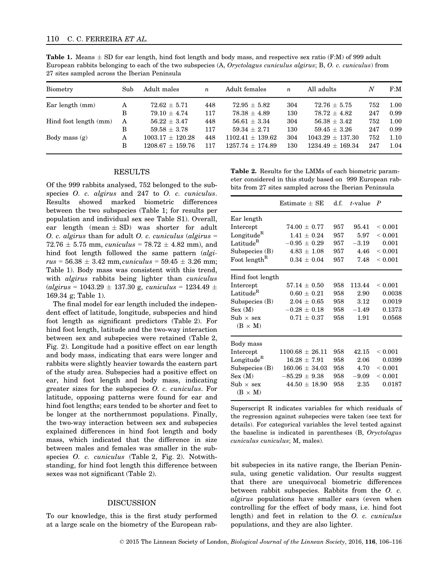**Table 1.** Means  $\pm$  SD for ear length, hind foot length and body mass, and respective sex ratio (F:M) of 999 adult European rabbits belonging to each of the two subspecies (A, Oryctolagus cuniculus algirus; B, O. c. cuniculus) from 27 sites sampled across the Iberian Peninsula

| Biometry              | Sub | Adult males          | $\boldsymbol{n}$ | Adult females      | $\boldsymbol{n}$ | All adults         | N   | F:M  |
|-----------------------|-----|----------------------|------------------|--------------------|------------------|--------------------|-----|------|
| Ear length $(mm)$     | A   | $72.62 \pm 5.71$     | 448              | $72.95 \pm 5.82$   | 304              | $72.76 \pm 5.75$   | 752 | 1.00 |
|                       | B   | $79.10 \pm 4.74$     | 117              | $78.38 + 4.89$     | 130              | $78.72 + 4.82$     | 247 | 0.99 |
| Hind foot length (mm) | A   | $56.22 \pm 3.47$     | 448              | $56.61 \pm 3.34$   | 304              | $56.38 \pm 3.42$   | 752 | 1.00 |
|                       | B   | $59.58 \pm 3.78$     | 117              | $59.34 \pm 2.71$   | 130              | $59.45 \pm 3.26$   | 247 | 0.99 |
| Body mass $(g)$       | A   | $1003.17 \pm 120.28$ | 448              | $1102.41 + 139.62$ | 304              | $1043.29 + 137.30$ | 752 | 1.10 |
|                       | B   | $1208.67 + 159.76$   | 117              | $1257.74 + 174.89$ | 130              | $1234.49 + 169.34$ | 247 | 1.04 |

#### **RESULTS**

Of the 999 rabbits analysed, 752 belonged to the subspecies O. c. algirus and 247 to O. c. cuniculus. Results showed marked biometric differences between the two subspecies (Table 1; for results per population and individual sex see Table S1). Overall, ear length (mean  $\pm$  SD) was shorter for adult O. c. algirus than for adult O. c. cuniculus (algirus  $=$  $72.76 \pm 5.75$  mm, *cuniculus* =  $78.72 \pm 4.82$  mm), and hind foot length followed the same pattern (algi $rus = 56.38 \pm 3.42$  mm, cuniculus = 59.45  $\pm$  3.26 mm; Table 1). Body mass was consistent with this trend, with *algirus* rabbits being lighter than *cuniculus*  $(algirus = 1043.29 \pm 137.30$  g, cuniculus = 1234.49  $\pm$ 169.34 g; Table 1).

The final model for ear length included the independent effect of latitude, longitude, subspecies and hind foot length as significant predictors (Table 2). For hind foot length, latitude and the two-way interaction between sex and subspecies were retained (Table 2, Fig. 2). Longitude had a positive effect on ear length and body mass, indicating that ears were longer and rabbits were slightly heavier towards the eastern part of the study area. Subspecies had a positive effect on ear, hind foot length and body mass, indicating greater sizes for the subspecies O. c. cuniculus. For latitude, opposing patterns were found for ear and hind foot lengths; ears tended to be shorter and feet to be longer at the northernmost populations. Finally, the two-way interaction between sex and subspecies explained differences in hind foot length and body mass, which indicated that the difference in size between males and females was smaller in the subspecies O. c. cuniculus (Table 2, Fig. 2). Notwithstanding, for hind foot length this difference between sexes was not significant (Table 2).

#### DISCUSSION

To our knowledge, this is the first study performed at a large scale on the biometry of the European rab-

Table 2. Results for the LMMs of each biometric parameter considered in this study based on 999 European rabbits from 27 sites sampled across the Iberian Peninsula

|                          | $Estimate + SE$      | d.f. | t-value | P           |  |  |  |  |
|--------------------------|----------------------|------|---------|-------------|--|--|--|--|
| Ear length               |                      |      |         |             |  |  |  |  |
| Intercept                | $74.00 + 0.77$       | 957  | 95.41   | ${}< 0.001$ |  |  |  |  |
| Longitude $^{\rm R}$     | $1.41 + 0.24$        | 957  | 5.97    | ${}< 0.001$ |  |  |  |  |
| Latitude <sup>R</sup>    | $-0.95 \pm 0.29$     | 957  | $-3.19$ | 0.001       |  |  |  |  |
| Subspecies (B)           | $4.83 + 1.08$        | 957  | 4.46    | ${}< 0.001$ |  |  |  |  |
| Foot length <sup>R</sup> | $0.34 + 0.04$        | 957  | 7.48    | ${}< 0.001$ |  |  |  |  |
| Hind foot length         |                      |      |         |             |  |  |  |  |
| Intercept                | $57.14 + 0.50$       | 958  | 113.44  | < 0.001     |  |  |  |  |
| Latitude <sup>R</sup>    | $0.60 \pm 0.21$      | 958  | 2.90    | 0.0038      |  |  |  |  |
| Subspecies (B)           | $2.04 + 0.65$        | 958  | 3.12    | 0.0019      |  |  |  |  |
| Sex (M)                  | $-0.28 + 0.18$       | 958  | $-1.49$ | 0.1373      |  |  |  |  |
| $Sub \times sex$         | $0.71 + 0.37$        | 958  | 1.91    | 0.0568      |  |  |  |  |
| $(B \times M)$           |                      |      |         |             |  |  |  |  |
| Body mass                |                      |      |         |             |  |  |  |  |
| Intercept                | $1100.68 \pm 26.11$  | 958  | 42.15   | ${}< 0.001$ |  |  |  |  |
| Longitude $^{\rm R}$     | $16.28 \,\pm\, 7.91$ | 958  | 2.06    | 0.0399      |  |  |  |  |
| Subspecies (B)           | $160.06 \pm 34.03$   | 958  | 4.70    | < 0.001     |  |  |  |  |
| Sex (M)                  | $-85.29 + 9.38$      | 958  | $-9.09$ | ${}< 0.001$ |  |  |  |  |
| $Sub \times sex$         | $44.50 \pm 18.90$    | 958  | 2.35    | 0.0187      |  |  |  |  |
| $(B \times M)$           |                      |      |         |             |  |  |  |  |

Superscript R indicates variables for which residuals of the regression against subspecies were taken (see text for details). For categorical variables the level tested against the baseline is indicated in parentheses (B, Oryctolagus cuniculus cuniculus; M, males).

bit subspecies in its native range, the Iberian Peninsula, using genetic validation. Our results suggest that there are unequivocal biometric differences between rabbit subspecies. Rabbits from the O. c. algirus populations have smaller ears (even when controlling for the effect of body mass, i.e. hind foot length) and feet in relation to the O. c. cuniculus populations, and they are also lighter.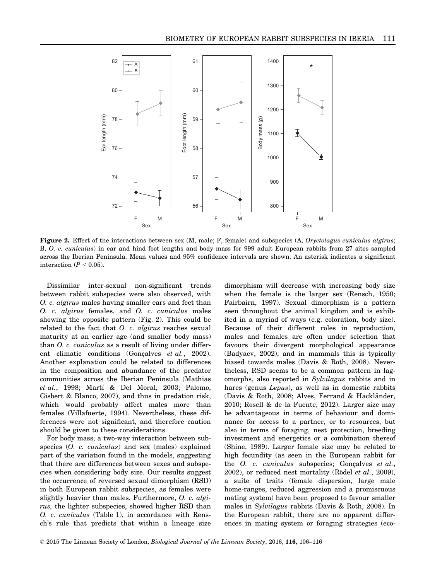

Figure 2. Effect of the interactions between sex (M, male; F, female) and subspecies (A, Oryctolagus cuniculus algirus; B, O. c. cuniculus) in ear and hind foot lengths and body mass for 999 adult European rabbits from 27 sites sampled across the Iberian Peninsula. Mean values and 95% confidence intervals are shown. An asterisk indicates a significant interaction ( $P < 0.05$ ).

Dissimilar inter-sexual non-significant trends between rabbit subspecies were also observed, with O. c. algirus males having smaller ears and feet than O. c. algirus females, and O. c. cuniculus males showing the opposite pattern (Fig. 2). This could be related to the fact that O. c. algirus reaches sexual maturity at an earlier age (and smaller body mass) than O. c. cuniculus as a result of living under different climatic conditions (Gonçalves et al., 2002). Another explanation could be related to differences in the composition and abundance of the predator communities across the Iberian Peninsula (Mathias et al., 1998; Martí & Del Moral, 2003; Palomo, Gisbert & Blanco, 2007), and thus in predation risk, which would probably affect males more than females (Villafuerte, 1994). Nevertheless, these differences were not significant, and therefore caution should be given to these considerations.

For body mass, a two-way interaction between subspecies (O. c. cuniculus) and sex (males) explained part of the variation found in the models, suggesting that there are differences between sexes and subspecies when considering body size. Our results suggest the occurrence of reversed sexual dimorphism (RSD) in both European rabbit subspecies, as females were slightly heavier than males. Furthermore, O. c. algirus, the lighter subspecies, showed higher RSD than O. c. cuniculus (Table 1), in accordance with Rensch's rule that predicts that within a lineage size dimorphism will decrease with increasing body size when the female is the larger sex (Rensch, 1950; Fairbairn, 1997). Sexual dimorphism is a pattern seen throughout the animal kingdom and is exhibited in a myriad of ways (e.g. coloration, body size). Because of their different roles in reproduction, males and females are often under selection that favours their divergent morphological appearance (Badyaev, 2002), and in mammals this is typically biased towards males (Davis & Roth, 2008). Nevertheless, RSD seems to be a common pattern in lagomorphs, also reported in Sylvilagus rabbits and in hares (genus Lepus), as well as in domestic rabbits (Davis & Roth, 2008; Alves, Ferrand & Hackländer, 2010; Rosell & de la Fuente, 2012). Larger size may be advantageous in terms of behaviour and dominance for access to a partner, or to resources, but also in terms of foraging, nest protection, breeding investment and energetics or a combination thereof (Shine, 1989). Larger female size may be related to high fecundity (as seen in the European rabbit for the O. c. cuniculus subspecies; Gonçalves et al., 2002), or reduced nest mortality (Rödel et al., 2009), a suite of traits (female dispersion, large male home-ranges, reduced aggression and a promiscuous mating system) have been proposed to favour smaller males in Sylvilagus rabbits (Davis & Roth, 2008). In the European rabbit, there are no apparent differences in mating system or foraging strategies (eco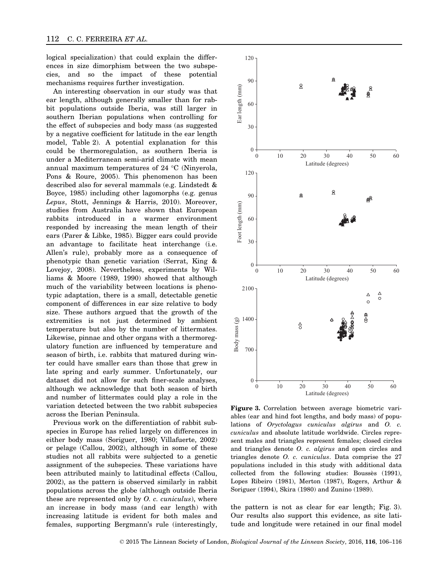logical specialization) that could explain the differences in size dimorphism between the two subspecies, and so the impact of these potential mechanisms requires further investigation.

An interesting observation in our study was that ear length, although generally smaller than for rabbit populations outside Iberia, was still larger in southern Iberian populations when controlling for the effect of subspecies and body mass (as suggested by a negative coefficient for latitude in the ear length model, Table 2). A potential explanation for this could be thermoregulation, as southern Iberia is under a Mediterranean semi-arid climate with mean annual maximum temperatures of 24 °C (Ninyerola, Pons & Roure, 2005). This phenomenon has been described also for several mammals (e.g. Lindstedt & Boyce, 1985) including other lagomorphs (e.g. genus Lepus, Stott, Jennings & Harris, 2010). Moreover, studies from Australia have shown that European rabbits introduced in a warmer environment responded by increasing the mean length of their ears (Parer & Libke, 1985). Bigger ears could provide an advantage to facilitate heat interchange (i.e. Allen's rule), probably more as a consequence of phenotypic than genetic variation (Serrat, King & Lovejoy, 2008). Nevertheless, experiments by Williams & Moore (1989, 1990) showed that although much of the variability between locations is phenotypic adaptation, there is a small, detectable genetic component of differences in ear size relative to body size. These authors argued that the growth of the extremities is not just determined by ambient temperature but also by the number of littermates. Likewise, pinnae and other organs with a thermoregulatory function are influenced by temperature and season of birth, i.e. rabbits that matured during winter could have smaller ears than those that grew in late spring and early summer. Unfortunately, our dataset did not allow for such finer-scale analyses, although we acknowledge that both season of birth and number of littermates could play a role in the variation detected between the two rabbit subspecies across the Iberian Peninsula.

Previous work on the differentiation of rabbit subspecies in Europe has relied largely on differences in either body mass (Soriguer, 1980; Villafuerte, 2002) or pelage (Callou, 2002), although in some of these studies not all rabbits were subjected to a genetic assignment of the subspecies. These variations have been attributed mainly to latitudinal effects (Callou, 2002), as the pattern is observed similarly in rabbit populations across the globe (although outside Iberia these are represented only by  $O. c.$  *cuniculus*), where an increase in body mass (and ear length) with increasing latitude is evident for both males and females, supporting Bergmann's rule (interestingly,



Figure 3. Correlation between average biometric variables (ear and hind foot lengths, and body mass) of populations of Oryctolagus cuniculus algirus and O. c. cuniculus and absolute latitude worldwide. Circles represent males and triangles represent females; closed circles and triangles denote O. c. algirus and open circles and triangles denote O. c. cuniculus. Data comprise the 27 populations included in this study with additional data collected from the following studies: Boussès (1991), Lopes Ribeiro (1981), Merton (1987), Rogers, Arthur & Soriguer (1994), Skira (1980) and Zunino (1989).

the pattern is not as clear for ear length; Fig. 3). Our results also support this evidence, as site latitude and longitude were retained in our final model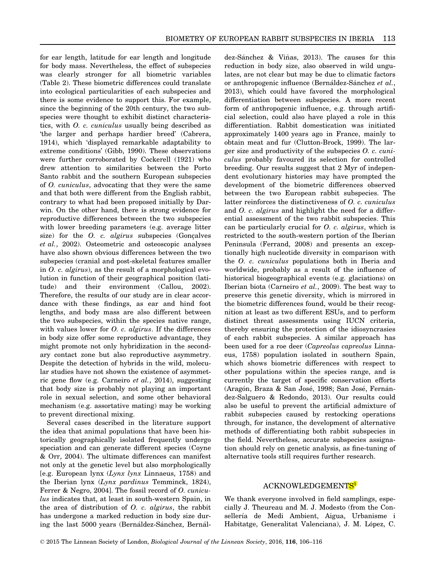for ear length, latitude for ear length and longitude for body mass. Nevertheless, the effect of subspecies was clearly stronger for all biometric variables (Table 2). These biometric differences could translate into ecological particularities of each subspecies and there is some evidence to support this. For example, since the beginning of the 20th century, the two subspecies were thought to exhibit distinct characteristics, with O. c. cuniculus usually being described as 'the larger and perhaps hardier breed' (Cabrera, 1914), which 'displayed remarkable adaptability to extreme conditions' (Gibb, 1990). These observations were further corroborated by Cockerell (1921) who drew attention to similarities between the Porto Santo rabbit and the southern European subspecies of O. cuniculus, advocating that they were the same and that both were different from the English rabbit, contrary to what had been proposed initially by Darwin. On the other hand, there is strong evidence for reproductive differences between the two subspecies with lower breeding parameters (e.g. average litter size) for the  $O$ .  $c$ . *algirus* subspecies (Goncalves et al., 2002). Osteometric and osteoscopic analyses have also shown obvious differences between the two subspecies (cranial and post-skeletal features smaller in O. c. algirus), as the result of a morphological evolution in function of their geographical position (latitude) and their environment (Callou, 2002). Therefore, the results of our study are in clear accordance with these findings, as ear and hind foot lengths, and body mass are also different between the two subspecies, within the species native range, with values lower for  $O.$   $c.$  algirus. If the differences in body size offer some reproductive advantage, they might promote not only hybridization in the secondary contact zone but also reproductive asymmetry. Despite the detection of hybrids in the wild, molecular studies have not shown the existence of asymmetric gene flow (e.g. Carneiro et al., 2014), suggesting that body size is probably not playing an important role in sexual selection, and some other behavioral mechanism (e.g. assortative mating) may be working to prevent directional mixing.

Several cases described in the literature support the idea that animal populations that have been historically geographically isolated frequently undergo speciation and can generate different species (Coyne & Orr, 2004). The ultimate differences can manifest not only at the genetic level but also morphologically [e.g. European lynx  $(Lynx \, lynx \, Linnaeus, 1758)$  and the Iberian lynx (Lynx pardinus Temminck, 1824), Ferrer & Negro, 2004]. The fossil record of O. cuniculus indicates that, at least in south-western Spain, in the area of distribution of O. c. algirus, the rabbit has undergone a marked reduction in body size during the last 5000 years (Bernáldez-Sánchez, Bernáldez-Sánchez & Viñas, 2013). The causes for this reduction in body size, also observed in wild ungulates, are not clear but may be due to climatic factors or anthropogenic influence (Bernáldez-Sánchez et al., 2013), which could have favored the morphological differentiation between subspecies. A more recent form of anthropogenic influence, e.g. through artificial selection, could also have played a role in this differentiation. Rabbit domestication was initiated approximately 1400 years ago in France, mainly to obtain meat and fur (Clutton-Brock, 1999). The larger size and productivity of the subspecies O. c. cuniculus probably favoured its selection for controlled breeding. Our results suggest that 2 Myr of independent evolutionary histories may have prompted the development of the biometric differences observed between the two European rabbit subspecies. The latter reinforces the distinctiveness of O. c. cuniculus and O. c. algirus and highlight the need for a differential assessment of the two rabbit subspecies. This can be particularly crucial for O. c. algirus, which is restricted to the south-western portion of the Iberian Peninsula (Ferrand, 2008) and presents an exceptionally high nucleotide diversity in comparison with the O. c. cuniculus populations both in Iberia and worldwide, probably as a result of the influence of historical biogeographical events (e.g. glaciations) on Iberian biota (Carneiro et al., 2009). The best way to preserve this genetic diversity, which is mirrored in the biometric differences found, would be their recognition at least as two different ESUs, and to perform distinct threat assessments using IUCN criteria, thereby ensuring the protection of the idiosyncrasies of each rabbit subspecies. A similar approach has been used for a roe deer (Capreolus capreolus Linnaeus, 1758) population isolated in southern Spain, which shows biometric differences with respect to other populations within the species range, and is currently the target of specific conservation efforts (Aragón, Braza & San José, 1998; San José, Fernández-Salguero & Redondo, 2013). Our results could also be useful to prevent the artificial admixture of rabbit subspecies caused by restocking operations through, for instance, the development of alternative methods of differentiating both rabbit subspecies in the field. Nevertheless, accurate subspecies assignation should rely on genetic analysis, as fine-tuning of alternative tools still requires further research.

## ACKNOWLEDGEMENTS<sup>§</sup>

We thank everyone involved in field samplings, especially J. Theureau and M. J. Modesto (from the Consellería de Medi Ambient, Aigua, Urbanisme i Habitatge, Generalitat Valenciana), J. M. López, C.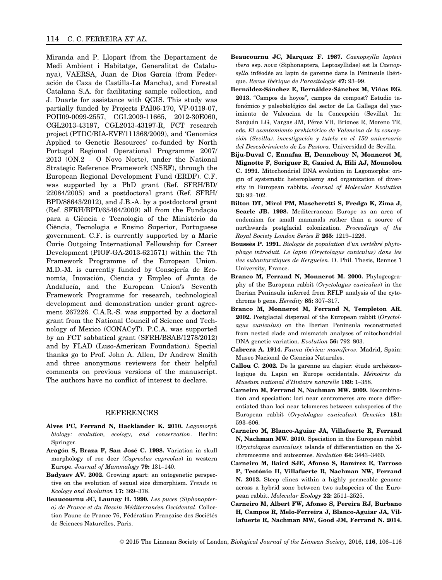Miranda and P. Llopart (from the Departament de Medi Ambient i Habitatge, Generalitat de Catalunya), VAERSA, Juan de Dios García (from Federacion de Caza de Castilla-La Mancha), and Forestal Catalana S.A. for facilitating sample collection, and J. Duarte for assistance with QGIS. This study was partially funded by Projects PAI06-170, VP-0119-07, POII09-0099-2557, CGL2009-11665, 2012-30E060, CGL2013-43197, CGL2013-43197-R, FCT research project (PTDC/BIA-EVF/111368/2009), and 'Genomics Applied to Genetic Resources' co-funded by North Portugal Regional Operational Programme 2007/ 2013 (ON.2 – O Novo Norte), under the National Strategic Reference Framework (NSRF), through the European Regional Development Fund (ERDF). C.F. was supported by a PhD grant (Ref. SFRH/BD/ 22084/2005) and a postdoctoral grant (Ref. SFRH/ BPD/88643/2012), and J.B.-A. by a postdoctoral grant  $(Ref. SFRH/BPD/65464/2009)$  all from the Fundação para a Ci^encia e Tecnologia of the Ministerio da Ci^encia, Tecnologia e Ensino Superior, Portuguese government. C.F. is currently supported by a Marie Curie Outgoing International Fellowship for Career Development (PIOF-GA-2013-621571) within the 7th Framework Programme of the European Union. M.D.-M. is currently funded by Consejería de Economía, Inovación, Ciencia y Empleo of Junta de Andalucía, and the European Union's Seventh Framework Programme for research, technological development and demonstration under grant agreement 267226. C.A.R.-S. was supported by a doctoral grant from the National Council of Science and Technology of Mexico (CONACyT). P.C.A. was supported by an FCT sabbatical grant (SFRH/BSAB/1278/2012) and by FLAD (Luso-American Foundation). Special thanks go to Prof. John A. Allen, Dr Andrew Smith and three anonymous reviewers for their helpful comments on previous versions of the manuscript. The authors have no conflict of interest to declare.

## REFERENCES

- Alves PC, Ferrand N, Hackländer K. 2010. Lagomorph biology: evolution, ecology, and conservation. Berlin: Springer.
- Aragón S, Braza F, San José C. 1998. Variation in skull morphology of roe deer (Capreolus capreolus) in western Europe. Journal of Mammalogy 79: 131–140.
- Badyaev AV. 2002. Growing apart: an ontogenetic perspective on the evolution of sexual size dimorphism. Trends in Ecology and Evolution 17: 369–378.
- Beaucournu JC, Launay H. 1990. Les puces (Siphonaptera) de France et du Bassin Méditerranéen Occidental. Collection Faune de France 76, Fédération Française des Sociétés de Sciences Naturelles, Paris.
- Beaucournu JC, Marquez F. 1987. Caenopsylla laptevi ibera ssp. nova (Siphonaptera, Leptosyllidae) est la Caenopsylla inféodée au lapin de garenne dans la Péninsule Ibérique. Revue Iberique de Parasitologie 47: 93–99.
- Bernáldez-Sánchez E, Bernáldez-Sánchez M, Viñas EG. 2013. "Campos de hoyos", campos de compost? Estudio tafonómico y paleobiológico del sector de La Gallega del yacimiento de Valencina de la Concepcion (Sevilla). In: Sanjuán LG, Vargas JM, Pérez VH, Briones R, Moreno TR, eds. El asentamiento prehistórico de Valencina de la concepción (Sevilla). investigación y tutela en el 150 aniversario del Descubrimiento de La Pastora. Universidad de Sevilla.
- Biju-Duval C, Ennafaa H, Dennebouy N, Monnerot M, Mignotte F, Soriguer R, Gaaied A, Hili AJ, Mounolou C. 1991. Mitochondrial DNA evolution in Lagomorphs: origin of systematic heteroplasmy and organization of diversity in European rabbits. Journal of Molecular Evolution 33: 92–102.
- Bilton DT, Mirol PM, Mascheretti S, Fredga K, Zima J, Searle JB. 1998. Mediterranean Europe as an area of endemism for small mammals rather than a source of northwards postglacial colonization. Proceedings of the Royal Society London Series B 265: 1219–1226.
- Boussès P. 1991. Biologie de population d'un vertebré phytophage introduit. Le lapin (Oryctolagus cuniculus) dans les ^ıles subantarctiques de Kerguelen. D. Phil. Thesis, Rennes 1 University, France.
- Branco M, Ferrand N, Monnerot M. 2000. Phylogeography of the European rabbit (Oryctolagus cuniculus) in the Iberian Peninsula inferred from RFLP analysis of the cytochrome b gene. Heredity 85: 307-317.
- Branco M, Monnerot M, Ferrand N, Templeton AR. 2002. Postglacial dispersal of the European rabbit (Oryctolagus cuniculus) on the Iberian Peninsula reconstructed from nested clade and mismatch analyses of mitochondrial DNA genetic variation. Evolution 56: 792–803.
- Cabrera A. 1914. Fauna ibérica: mamíferos. Madrid, Spain: Museo Nacional de Ciencias Naturales.
- Callou C. 2002. De la garenne au clapier: étude archéozoologique du Lapin en Europe occidentale. Mémoires du Museum national d'Histoire naturelle 189: 1–358.
- Carneiro M, Ferrand N, Nachman MW. 2009. Recombination and speciation: loci near centromeres are more differentiated than loci near telomeres between subspecies of the European rabbit (Oryctolagus cuniculus). Genetics 181: 593–606.
- Carneiro M, Blanco-Aguiar JA, Villafuerte R, Ferrand N, Nachman MW. 2010. Speciation in the European rabbit (Oryctolagus cuniculus): islands of differentiation on the Xchromosome and autosomes. Evolution 64: 3443–3460.
- Carneiro M, Baird SJE, Afonso S, Ramırez E, Tarroso P, Teotonio H, Villafuerte R, Nachman NW, Ferrand N. 2013. Steep clines within a highly permeable genome across a hybrid zone between two subspecies of the European rabbit. Molecular Ecology 22: 2511–2525.
- Carneiro M, Albert FW, Afonso S, Pereira RJ, Burbano H, Campos R, Melo-Ferreira J, Blanco-Aguiar JA, Villafuerte R, Nachman MW, Good JM, Ferrand N. 2014.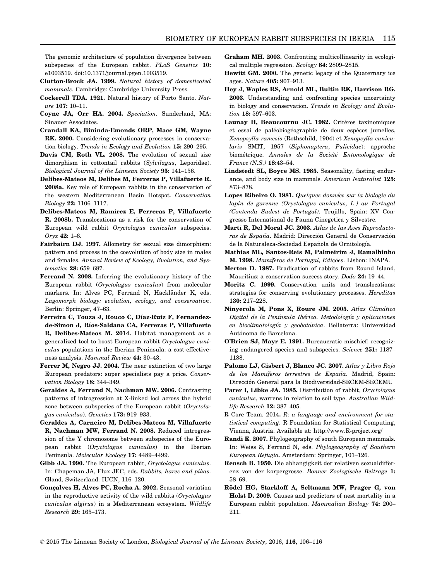The genomic architecture of population divergence between subspecies of the European rabbit. PLoS Genetics 10: e1003519. doi:10.1371/journal.pgen.1003519.

- Clutton-Brock JA. 1999. Natural history of domesticated mammals. Cambridge: Cambridge University Press.
- Cockerell TDA. 1921. Natural history of Porto Santo. Nature 107: 10–11.
- Coyne JA, Orr HA. 2004. Speciation. Sunderland, MA: Sinauer Associates.
- Crandall KA, Bininda-Emonds ORP, Mace GM, Wayne RK. 2000. Considering evolutionary processes in conservation biology. Trends in Ecology and Evolution 15: 290–295.
- Davis CM, Roth VL. 2008. The evolution of sexual size dimorphism in cottontail rabbits (Sylvilagus, Leporidae). Biological Journal of the Linnean Society 95: 141–156.
- Delibes-Mateos M, Delibes M, Ferreras P, Villafuerte R. 2008a. Key role of European rabbits in the conservation of the western Mediterranean Basin Hotspot. Conservation Biology 22: 1106–1117.
- Delibes-Mateos M, Ramırez E, Ferreras P, Villafuerte R. 2008b. Translocations as a risk for the conservation of European wild rabbit Oryctolagus cuniculus subspecies. Oryx 42: 1–6.
- Fairbairn DJ. 1997. Allometry for sexual size dimorphism: pattern and process in the coevolution of body size in males and females. Annual Review of Ecology, Evolution, and Systematics 28: 659–687.
- Ferrand N. 2008. Inferring the evolutionary history of the European rabbit (Oryctolagus cuniculus) from molecular markers. In: Alves PC, Ferrand N, Hackländer K, eds. Lagomorph biology: evolution, ecology, and conservation. Berlin: Springer, 47–63.
- Ferreira C, Touza J, Rouco C, Dıaz-Ruiz F, Fernandezde-Simon J, Rıos-Saldana CA, Ferreras P, Villafuerte ~ R, Delibes-Mateos M. 2014. Habitat management as a generalized tool to boost European rabbit Oryctolagus cuniculus populations in the Iberian Peninsula: a cost-effectiveness analysis. Mammal Review 44: 30–43.
- Ferrer M, Negro JJ. 2004. The near extinction of two large European predators: super specialists pay a price. Conservation Biology 18: 344–349.
- Geraldes A, Ferrand N, Nachman MW. 2006. Contrasting patterns of introgression at X-linked loci across the hybrid zone between subspecies of the European rabbit (Oryctolagus cuniculus). Genetics 173: 919–933.
- Geraldes A, Carneiro M, Delibes-Mateos M, Villafuerte R, Nachman MW, Ferrand N. 2008. Reduced introgression of the Y chromosome between subspecies of the European rabbit (Oryctolagus cuniculus) in the Iberian Peninsula. Molecular Ecology 17: 4489–4499.
- Gibb JA. 1990. The European rabbit, Oryctolagus cuniculus. In: Chapeman JA, Flux JEC, eds. Rabbits, hares and pikas. Gland, Switzerland: IUCN, 116–120.
- Goncalves H, Alves PC, Rocha A. 2002. Seasonal variation in the reproductive activity of the wild rabbits (Oryctolagus cuniculus algirus) in a Mediterranean ecosystem. Wildlife Research 29: 165–173.
- Graham MH. 2003. Confronting multicollinearity in ecological multiple regression.  $Ecology$  84: 2809–2815.
- Hewitt GM. 2000. The genetic legacy of the Quaternary ice ages. Nature 405: 907–913.
- Hey J, Waples RS, Arnold ML, Bultin RK, Harrison RG. 2003. Understanding and confronting species uncertainty in biology and conservation. Trends in Ecology and Evolution 18: 597–603.
- Launay H. Beaucournu JC. 1982. Critères taxinomiques et essai de paleobiogeographie de deux especes jumelles, Xenopsylla ramesis (Rothschild, 1904) et Xenopsylla cunicularis SMIT, 1957 (Siphonaptera, Pulicidae): approche biométrique. Annales de la Société Entomologique de France (N.S.) 18:43–54.
- Lindstedt SL, Boyce MS. 1985. Seasonality, fasting endurance, and body size in mammals. American Naturalist 125: 873–878.
- Lopes Ribeiro O. 1981. Quelques données sur la biologie du lapin de garenne (Oryctolagus cuniculus, L.) au Portugal (Contenda Sudest de Portugal). Trujillo, Spain: XV Congresso International de Fauna Cinegetica y Silvestre.
- Martí R, Del Moral JC. 2003. Atlas de las Aves Reproductoras de España. Madrid: Dirección General de Conservación de la Naturaleza-Sociedad Española de Ornitología.
- Mathias ML, Santos-Reis M, Palmeirim J, Ramalhinho M. 1998. Mamíferos de Portugal, Edições. Lisbon: INAPA.
- Merton D. 1987. Eradication of rabbits from Round Island, Mauritius: a conservation success story. Dodo 24: 19–44.
- Moritz C. 1999. Conservation units and translocations: strategies for conserving evolutionary processes. Hereditas 130: 217–228.
- Ninyerola M, Pons X, Roure JM. 2005. Atlas Climatico Digital de la Península Ibérica. Metodología y aplicaciones en bioclimatología y geobotánica. Bellaterra: Universidad Autónoma de Barcelona.
- O'Brien SJ, Mayr E. 1991. Bureaucratic mischief: recognizing endangered species and subspecies. Science 251: 1187– 1188.
- Palomo LJ, Gisbert J, Blanco JC. 2007. Atlas y Libro Rojo de los Mamíferos terrestres de España. Madrid, Spain: Direccion General para la Biodiversidad-SECEM-SECEMU
- Parer I, Libke JA. 1985. Distribution of rabbit, Oryctolagus cuniculus, warrens in relation to soil type. Australian Wildlife Research 12: 387–405.
- R Core Team. 2014. R: a language and environment for statistical computing. R Foundation for Statistical Computing, Vienna, Austria. Available at: http://www.R-project.org/
- Randi E. 2007. Phylogeography of south European mammals. In: Weiss S, Ferrand N, eds. Phylogeography of Southern European Refugia. Amsterdam: Springer, 101–126.
- Rensch B. 1950. Die abhangigkeit der relativen sexualdifferenz von der korpergrosse. Bonner Zoologische Beitrage 1: 58–69.
- Rödel HG, Starkloff A, Seltmann MW, Prager G, von Holst D. 2009. Causes and predictors of nest mortality in a European rabbit population. Mammalian Biology 74: 200– 211.